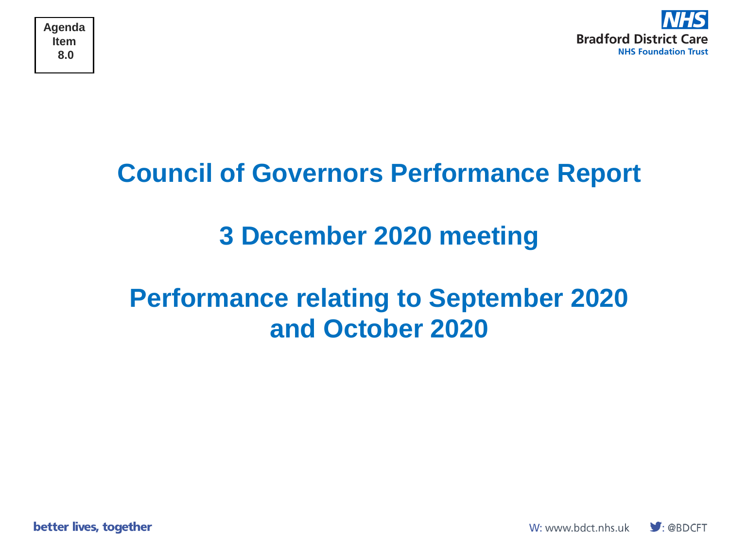

### **Council of Governors Performance Report**

## **3 December 2020 meeting**

### **Performance relating to September 2020 and October 2020**

better lives, together

W: www.bdct.nhs.uk

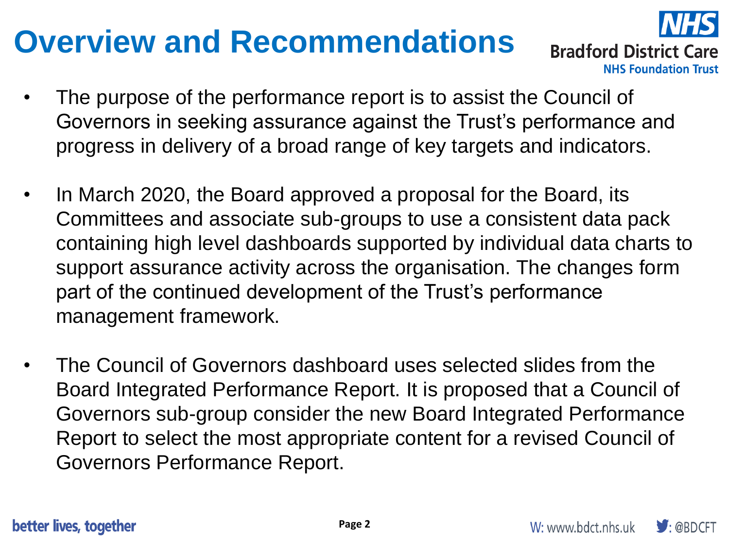## **Overview and Recommendations**



**Bradford District Care NHS Foundation Trust** 

- The purpose of the performance report is to assist the Council of Governors in seeking assurance against the Trust's performance and progress in delivery of a broad range of key targets and indicators.
- In March 2020, the Board approved a proposal for the Board, its Committees and associate sub-groups to use a consistent data pack containing high level dashboards supported by individual data charts to support assurance activity across the organisation. The changes form part of the continued development of the Trust's performance management framework.
- The Council of Governors dashboard uses selected slides from the Board Integrated Performance Report. It is proposed that a Council of Governors sub-group consider the new Board Integrated Performance Report to select the most appropriate content for a revised Council of Governors Performance Report.

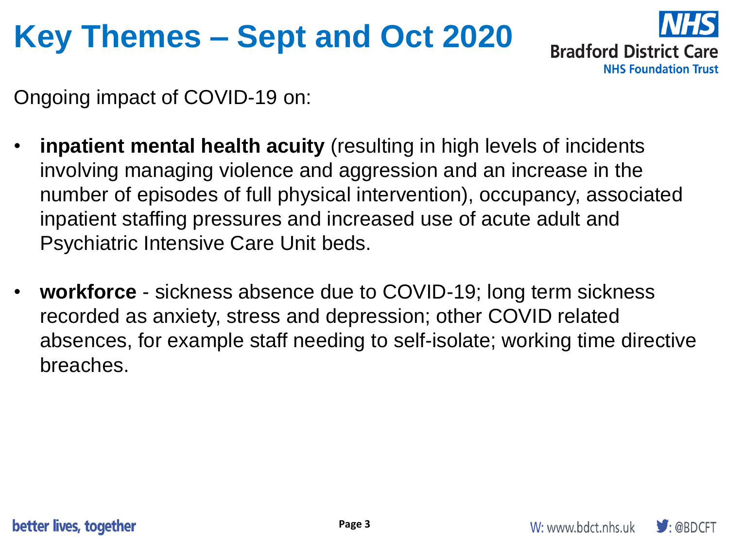## **Key Themes – Sept and Oct 2020**



Ongoing impact of COVID-19 on:

- **inpatient mental health acuity** (resulting in high levels of incidents involving managing violence and aggression and an increase in the number of episodes of full physical intervention), occupancy, associated inpatient staffing pressures and increased use of acute adult and Psychiatric Intensive Care Unit beds.
- **workforce** sickness absence due to COVID-19; long term sickness recorded as anxiety, stress and depression; other COVID related absences, for example staff needing to self-isolate; working time directive breaches.

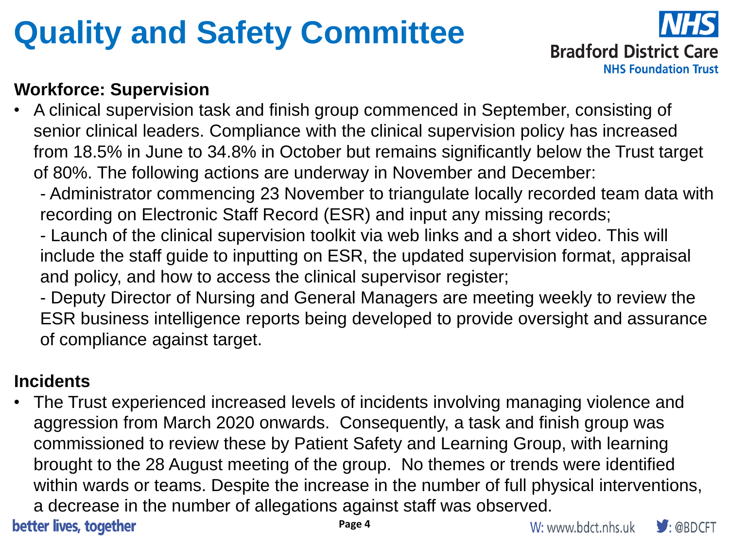## **Quality and Safety Committee**



### **Workforce: Supervision**

- A clinical supervision task and finish group commenced in September, consisting of senior clinical leaders. Compliance with the clinical supervision policy has increased from 18.5% in June to 34.8% in October but remains significantly below the Trust target of 80%. The following actions are underway in November and December:
	- Administrator commencing 23 November to triangulate locally recorded team data with recording on Electronic Staff Record (ESR) and input any missing records;
	- Launch of the clinical supervision toolkit via web links and a short video. This will include the staff guide to inputting on ESR, the updated supervision format, appraisal and policy, and how to access the clinical supervisor register;
	- Deputy Director of Nursing and General Managers are meeting weekly to review the ESR business intelligence reports being developed to provide oversight and assurance of compliance against target.

### **Incidents**

The Trust experienced increased levels of incidents involving managing violence and aggression from March 2020 onwards. Consequently, a task and finish group was commissioned to review these by Patient Safety and Learning Group, with learning brought to the 28 August meeting of the group. No themes or trends were identified within wards or teams. Despite the increase in the number of full physical interventions, a decrease in the number of allegations against staff was observed.

better lives, together

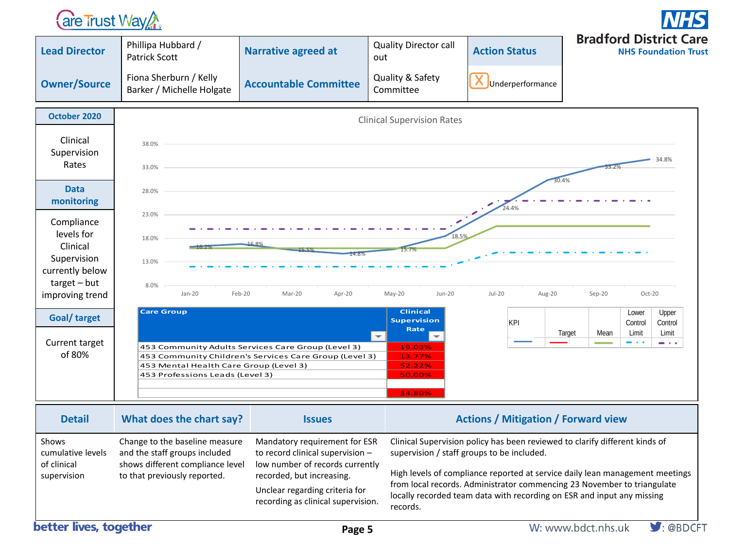### **are Trust Way Are**



| Clinical Supervision policy has been reviewed to clarify different kinds of<br>Change to the baseline measure<br>Mandatory requirement for ESR<br>Shows<br>and the staff groups included<br>to record clinical supervision -<br>supervision / staff groups to be included.<br>cumulative levels<br>shows different compliance level<br>low number of records currently<br>of clinical | <b>Detail</b> | What does the chart say?     | <b>Issues</b>             | <b>Actions / Mitigation / Forward view</b>                                   |
|---------------------------------------------------------------------------------------------------------------------------------------------------------------------------------------------------------------------------------------------------------------------------------------------------------------------------------------------------------------------------------------|---------------|------------------------------|---------------------------|------------------------------------------------------------------------------|
| from local records. Administrator commencing 23 November to triangulate<br>Unclear regarding criteria for<br>locally recorded team data with recording on ESR and input any missing<br>recording as clinical supervision.<br>records.<br>.                                                                                                                                            | supervision   | to that previously reported. | recorded, but increasing. | High levels of compliance reported at service daily lean management meetings |

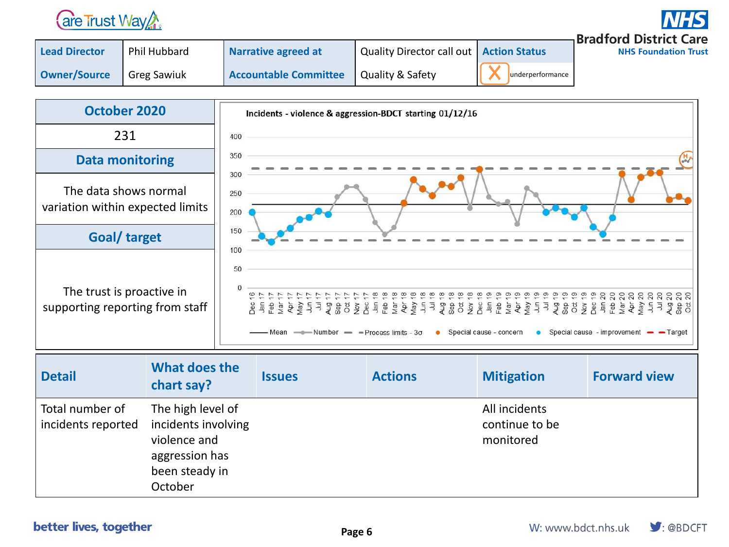

**Bradford District Care** 

**NHS Foundation Trust** 

| <b>Lead Director</b> | <b>Phil Hubbard</b> | Narrative agreed at          | Quality Director call out   Action Status |                  | I DI GV |
|----------------------|---------------------|------------------------------|-------------------------------------------|------------------|---------|
| <b>Owner/Source</b>  | <b>Greg Sawiuk</b>  | <b>Accountable Committee</b> | <b>Quality &amp; Safety</b>               | underperformance |         |



| <b>Detail</b>                         | What does the<br>chart say?                                                                             | <b>Issues</b> | <b>Actions</b> | <b>Mitigation</b>                            | <b>Forward view</b> |
|---------------------------------------|---------------------------------------------------------------------------------------------------------|---------------|----------------|----------------------------------------------|---------------------|
| Total number of<br>incidents reported | The high level of<br>incidents involving<br>violence and<br>aggression has<br>been steady in<br>October |               |                | All incidents<br>continue to be<br>monitored |                     |

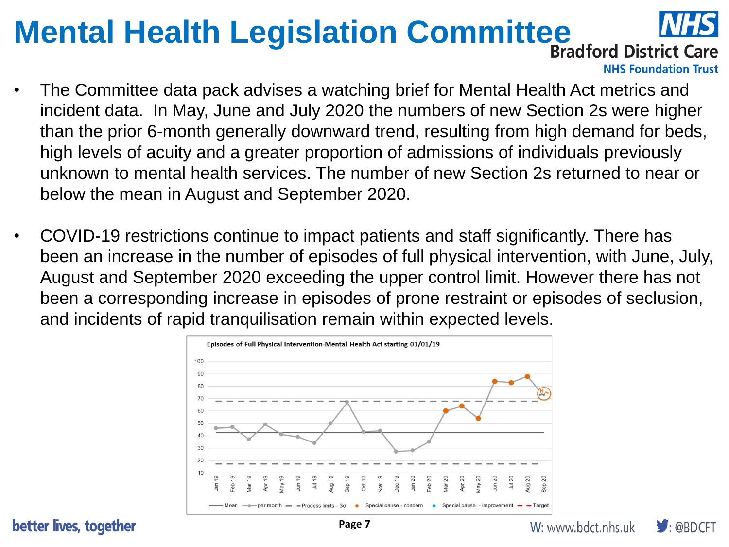# **Mental Health Legislation Committee INTE**



**NHS Foundation Trust** 

- The Committee data pack advises a watching brief for Mental Health Act metrics and incident data. In May, June and July 2020 the numbers of new Section 2s were higher than the prior 6-month generally downward trend, resulting from high demand for beds, high levels of acuity and a greater proportion of admissions of individuals previously unknown to mental health services. The number of new Section 2s returned to near or below the mean in August and September 2020.
- COVID-19 restrictions continue to impact patients and staff significantly. There has been an increase in the number of episodes of full physical intervention, with June, July, August and September 2020 exceeding the upper control limit. However there has not been a corresponding increase in episodes of prone restraint or episodes of seclusion, and incidents of rapid tranquilisation remain within expected levels.



better lives, together

 $\bigtriangledown$ : @BDCFT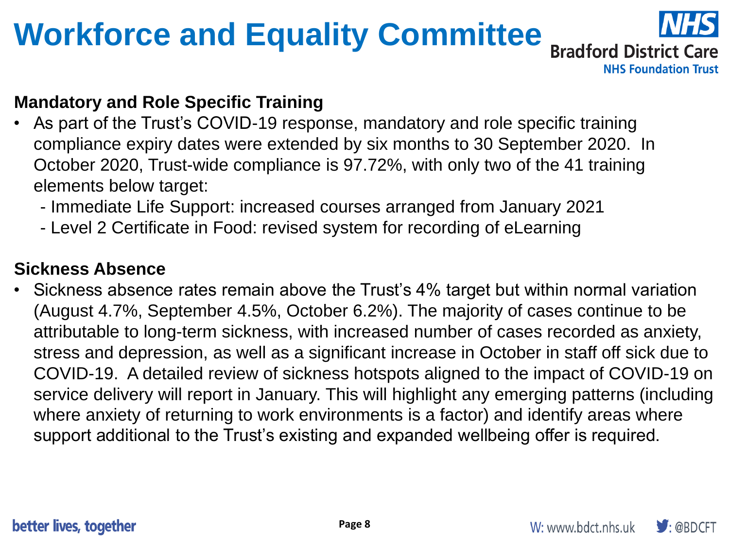# **Workforce and Equality Committee**



**NHS Foundation Trust** 

### **Mandatory and Role Specific Training**

- As part of the Trust's COVID-19 response, mandatory and role specific training compliance expiry dates were extended by six months to 30 September 2020. In October 2020, Trust-wide compliance is 97.72%, with only two of the 41 training elements below target:
	- Immediate Life Support: increased courses arranged from January 2021
	- Level 2 Certificate in Food: revised system for recording of eLearning

### **Sickness Absence**

Sickness absence rates remain above the Trust's 4% target but within normal variation (August 4.7%, September 4.5%, October 6.2%). The majority of cases continue to be attributable to long-term sickness, with increased number of cases recorded as anxiety, stress and depression, as well as a significant increase in October in staff off sick due to COVID-19. A detailed review of sickness hotspots aligned to the impact of COVID-19 on service delivery will report in January. This will highlight any emerging patterns (including where anxiety of returning to work environments is a factor) and identify areas where support additional to the Trust's existing and expanded wellbeing offer is required.

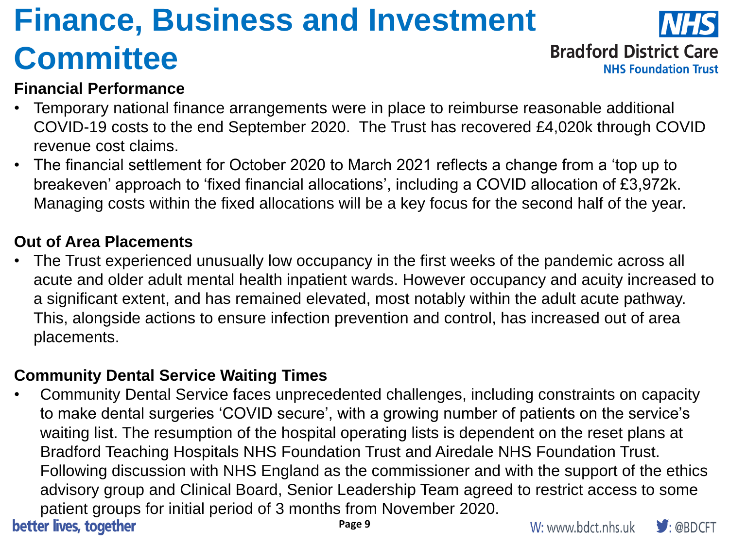# **Finance, Business and Investment Committee**



**Bradford District Care** 

**NHS Foundation Trust** 

### **Financial Performance**

- Temporary national finance arrangements were in place to reimburse reasonable additional COVID-19 costs to the end September 2020. The Trust has recovered £4,020k through COVID revenue cost claims.
- The financial settlement for October 2020 to March 2021 reflects a change from a 'top up to breakeven' approach to 'fixed financial allocations', including a COVID allocation of £3,972k. Managing costs within the fixed allocations will be a key focus for the second half of the year.

#### **Out of Area Placements**

The Trust experienced unusually low occupancy in the first weeks of the pandemic across all acute and older adult mental health inpatient wards. However occupancy and acuity increased to a significant extent, and has remained elevated, most notably within the adult acute pathway. This, alongside actions to ensure infection prevention and control, has increased out of area placements.

#### **Community Dental Service Waiting Times**

• Community Dental Service faces unprecedented challenges, including constraints on capacity to make dental surgeries 'COVID secure', with a growing number of patients on the service's waiting list. The resumption of the hospital operating lists is dependent on the reset plans at Bradford Teaching Hospitals NHS Foundation Trust and Airedale NHS Foundation Trust. Following discussion with NHS England as the commissioner and with the support of the ethics advisory group and Clinical Board, Senior Leadership Team agreed to restrict access to some patient groups for initial period of 3 months from November 2020. better lives, together

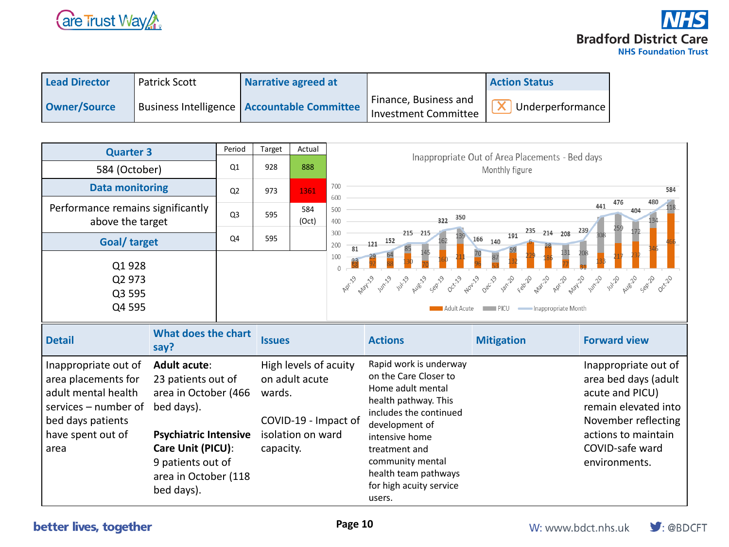

| <b>Lead Director</b> | <b>Patrick Scott</b> | Narrative agreed at                           |                                                      | <b>Action Status</b> |
|----------------------|----------------------|-----------------------------------------------|------------------------------------------------------|----------------------|
| Owner/Source         |                      | Business Intelligence   Accountable Committee | Finance, Business and<br><b>Investment Committee</b> | Underperformance     |

| <b>Quarter 3</b>                                                                                                                                |                                                                                                                                      | Period            | Target              | Actual                                                       |                                                                                     | Inappropriate Out of Area Placements - Bed days<br>Monthly figure                                                                                                                               |                                                           |                                                                                                                                                                           |
|-------------------------------------------------------------------------------------------------------------------------------------------------|--------------------------------------------------------------------------------------------------------------------------------------|-------------------|---------------------|--------------------------------------------------------------|-------------------------------------------------------------------------------------|-------------------------------------------------------------------------------------------------------------------------------------------------------------------------------------------------|-----------------------------------------------------------|---------------------------------------------------------------------------------------------------------------------------------------------------------------------------|
| 584 (October)                                                                                                                                   |                                                                                                                                      | Q1                | 928                 | 888                                                          |                                                                                     |                                                                                                                                                                                                 |                                                           |                                                                                                                                                                           |
| <b>Data monitoring</b>                                                                                                                          |                                                                                                                                      | Q2                | 973                 | 1361                                                         | 700                                                                                 |                                                                                                                                                                                                 |                                                           | 584                                                                                                                                                                       |
| Performance remains significantly<br>above the target                                                                                           |                                                                                                                                      | Q <sub>3</sub>    | 595                 | 584<br>(Oct)                                                 | 600<br>476<br>441<br>500<br>350<br>322<br>400                                       |                                                                                                                                                                                                 | 480<br>404                                                |                                                                                                                                                                           |
| Goal/ target                                                                                                                                    |                                                                                                                                      | Q4                | 595                 |                                                              | 235 214 208 239<br>300<br>215 215<br>191<br>166<br>$-121 - 152$<br>140<br>200<br>81 |                                                                                                                                                                                                 |                                                           |                                                                                                                                                                           |
| Q1928<br>Q2 973<br>Q3 595<br>Q4 595                                                                                                             |                                                                                                                                      |                   |                     |                                                              | 100<br>$\bigcap$<br><b>A</b> pril                                                   | May 19 write with pues carp decid parts decid varib capp parts parts would write with<br>Adult Acute                                                                                            | <b>EXECUPATE:</b> PICU <b>CONTENT</b> Inappropriate Month | Aug-20<br>Sepi20                                                                                                                                                          |
| <b>What does the chart</b><br><b>Detail</b><br>say?                                                                                             |                                                                                                                                      |                   | <b>Issues</b>       |                                                              |                                                                                     | <b>Actions</b>                                                                                                                                                                                  | <b>Mitigation</b>                                         | <b>Forward view</b>                                                                                                                                                       |
| Inappropriate out of<br>area placements for<br>adult mental health<br>$s$ ervices – number of<br>bed days patients<br>have spent out of<br>area | <b>Adult acute:</b><br>23 patients out of<br>area in October (466<br>bed days).<br><b>Psychiatric Intensive</b><br>Care Unit (PICU): | 9 patients out of | wards.<br>capacity. | High levels of acuity<br>on adult acute<br>isolation on ward | COVID-19 - Impact of                                                                | Rapid work is underway<br>on the Care Closer to<br>Home adult mental<br>health pathway. This<br>includes the continued<br>development of<br>intensive home<br>treatment and<br>community mental |                                                           | Inappropriate out of<br>area bed days (adult<br>acute and PICU)<br>remain elevated into<br>November reflecting<br>actions to maintain<br>COVID-safe ward<br>environments. |